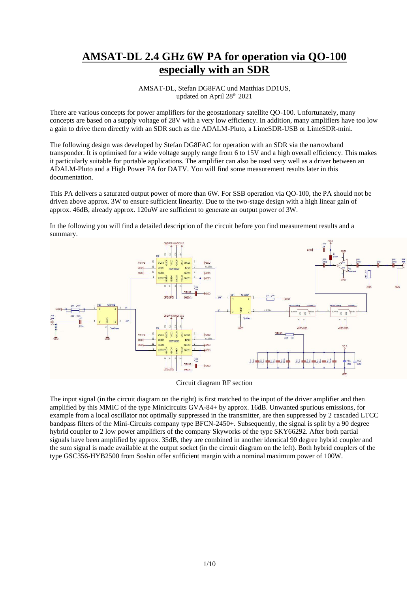## **AMSAT-DL 2.4 GHz 6W PA for operation via QO-100 especially with an SDR**

AMSAT-DL, Stefan DG8FAC und Matthias DD1US, updated on April 28<sup>th</sup> 2021

There are various concepts for power amplifiers for the geostationary satellite QO-100. Unfortunately, many concepts are based on a supply voltage of 28V with a very low efficiency. In addition, many amplifiers have too low a gain to drive them directly with an SDR such as the ADALM-Pluto, a LimeSDR-USB or LimeSDR-mini.

The following design was developed by Stefan DG8FAC for operation with an SDR via the narrowband transponder. It is optimised for a wide voltage supply range from 6 to 15V and a high overall efficiency. This makes it particularly suitable for portable applications. The amplifier can also be used very well as a driver between an ADALM-Pluto and a High Power PA for DATV. You will find some measurement results later in this documentation.

This PA delivers a saturated output power of more than 6W. For SSB operation via QO-100, the PA should not be driven above approx. 3W to ensure sufficient linearity. Due to the two-stage design with a high linear gain of approx. 46dB, already approx. 120uW are sufficient to generate an output power of 3W.

In the following you will find a detailed description of the circuit before you find measurement results and a summary.



Circuit diagram RF section

The input signal (in the circuit diagram on the right) is first matched to the input of the driver amplifier and then amplified by this MMIC of the type Minicircuits GVA-84+ by approx. 16dB. Unwanted spurious emissions, for example from a local oscillator not optimally suppressed in the transmitter, are then suppressed by 2 cascaded LTCC bandpass filters of the Mini-Circuits company type BFCN-2450+. Subsequently, the signal is split by a 90 degree hybrid coupler to 2 low power amplifiers of the company Skyworks of the type SKY66292. After both partial signals have been amplified by approx. 35dB, they are combined in another identical 90 degree hybrid coupler and the sum signal is made available at the output socket (in the circuit diagram on the left). Both hybrid couplers of the type GSC356-HYB2500 from Soshin offer sufficient margin with a nominal maximum power of 100W.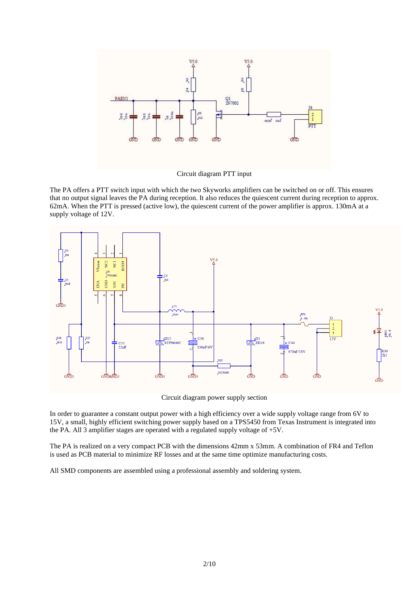

Circuit diagram PTT input

The PA offers a PTT switch input with which the two Skyworks amplifiers can be switched on or off. This ensures that no output signal leaves the PA during reception. It also reduces the quiescent current during reception to approx. 62mA. When the PTT is pressed (active low), the quiescent current of the power amplifier is approx. 130mA at a supply voltage of 12V.



Circuit diagram power supply section

In order to guarantee a constant output power with a high efficiency over a wide supply voltage range from 6V to 15V, a small, highly efficient switching power supply based on a TPS5450 from Texas Instrument is integrated into the PA. All 3 amplifier stages are operated with a regulated supply voltage of +5V.

The PA is realized on a very compact PCB with the dimensions 42mm x 53mm. A combination of FR4 and Teflon is used as PCB material to minimize RF losses and at the same time optimize manufacturing costs.

All SMD components are assembled using a professional assembly and soldering system.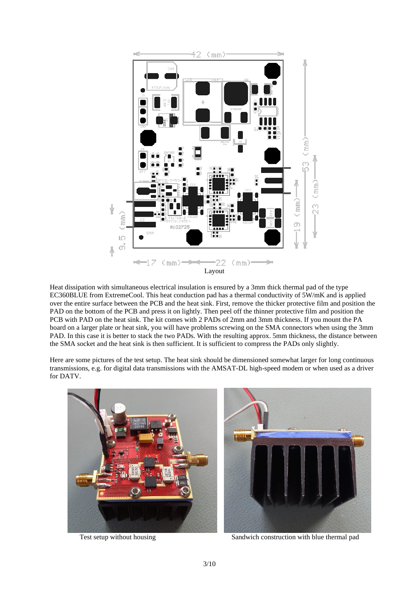

Heat dissipation with simultaneous electrical insulation is ensured by a 3mm thick thermal pad of the type EC360BLUE from ExtremeCool. This heat conduction pad has a thermal conductivity of 5W/mK and is applied over the entire surface between the PCB and the heat sink. First, remove the thicker protective film and position the PAD on the bottom of the PCB and press it on lightly. Then peel off the thinner protective film and position the PCB with PAD on the heat sink. The kit comes with 2 PADs of 2mm and 3mm thickness. If you mount the PA board on a larger plate or heat sink, you will have problems screwing on the SMA connectors when using the 3mm PAD. In this case it is better to stack the two PADs. With the resulting approx. 5mm thickness, the distance between the SMA socket and the heat sink is then sufficient. It is sufficient to compress the PADs only slightly.

Here are some pictures of the test setup. The heat sink should be dimensioned somewhat larger for long continuous transmissions, e.g. for digital data transmissions with the AMSAT-DL high-speed modem or when used as a driver for DATV.





Test setup without housing Sandwich construction with blue thermal pad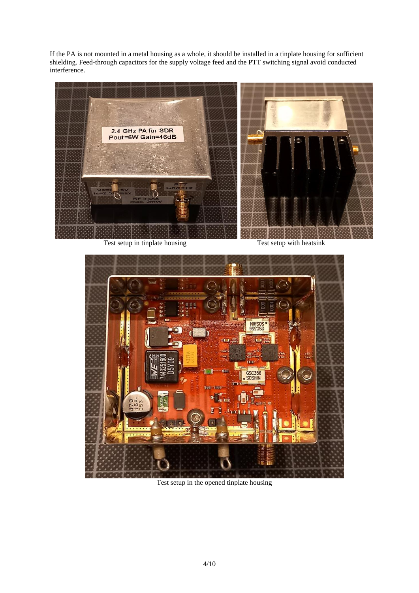If the PA is not mounted in a metal housing as a whole, it should be installed in a tinplate housing for sufficient shielding. Feed-through capacitors for the supply voltage feed and the PTT switching signal avoid conducted interference.



Test setup in tinplate housing Test setup with heatsink



Test setup in the opened tinplate housing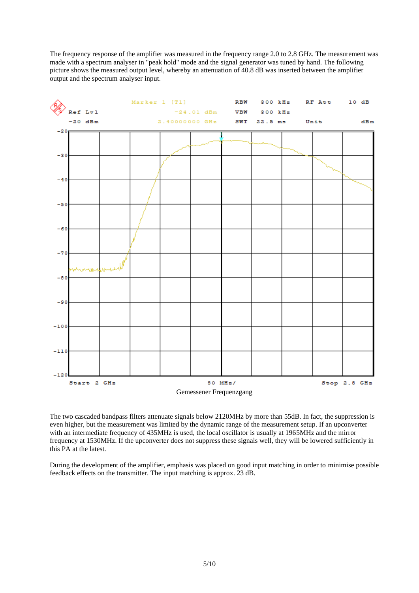The frequency response of the amplifier was measured in the frequency range 2.0 to 2.8 GHz. The measurement was made with a spectrum analyser in "peak hold" mode and the signal generator was tuned by hand. The following picture shows the measured output level, whereby an attenuation of 40.8 dB was inserted between the amplifier output and the spectrum analyser input.



The two cascaded bandpass filters attenuate signals below 2120MHz by more than 55dB. In fact, the suppression is even higher, but the measurement was limited by the dynamic range of the measurement setup. If an upconverter with an intermediate frequency of 435MHz is used, the local oscillator is usually at 1965MHz and the mirror frequency at 1530MHz. If the upconverter does not suppress these signals well, they will be lowered sufficiently in this PA at the latest.

During the development of the amplifier, emphasis was placed on good input matching in order to minimise possible feedback effects on the transmitter. The input matching is approx. 23 dB.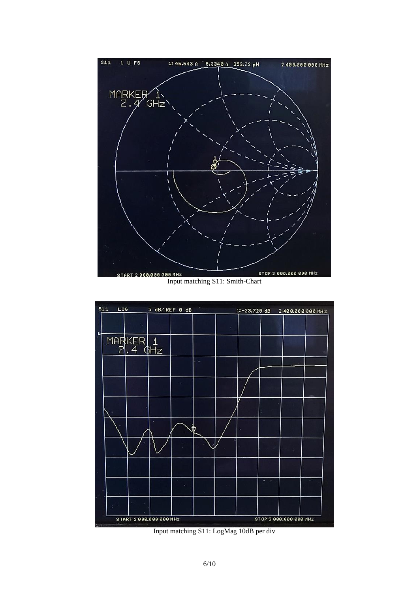

Input matching S11: Smith-Chart



Input matching S11: LogMag 10dB per div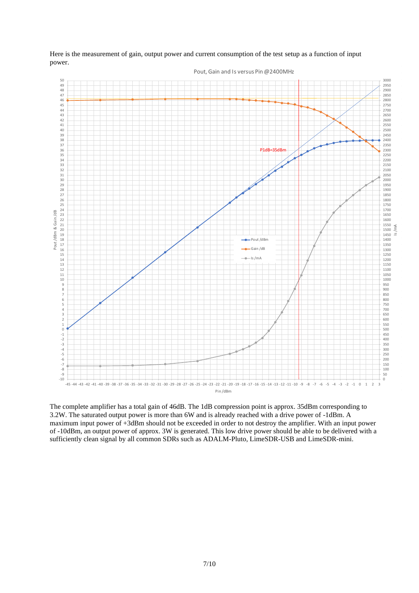

Here is the measurement of gain, output power and current consumption of the test setup as a function of input power.

The complete amplifier has a total gain of 46dB. The 1dB compression point is approx. 35dBm corresponding to 3.2W. The saturated output power is more than 6W and is already reached with a drive power of -1dBm. A maximum input power of +3dBm should not be exceeded in order to not destroy the amplifier. With an input power of -10dBm, an output power of approx. 3W is generated. This low drive power should be able to be delivered with a sufficiently clean signal by all common SDRs such as ADALM-Pluto, LimeSDR-USB and LimeSDR-mini.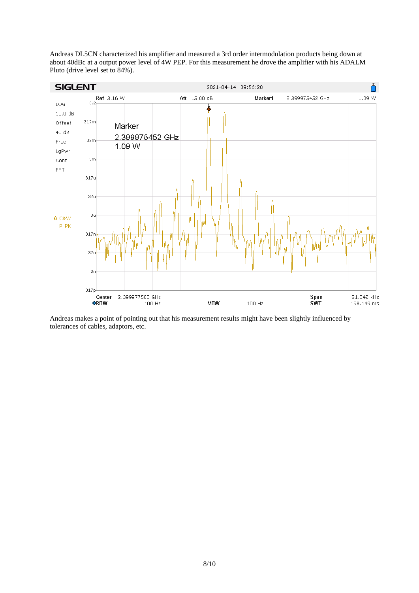Andreas DL5CN characterized his amplifier and measured a 3rd order intermodulation products being down at about 40dBc at a output power level of 4W PEP. For this measurement he drove the amplifier with his ADALM Pluto (drive level set to 84%).



Andreas makes a point of pointing out that his measurement results might have been slightly influenced by tolerances of cables, adaptors, etc.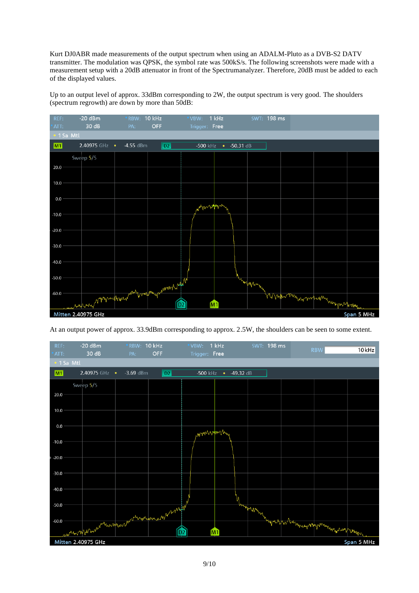Kurt DJ0ABR made measurements of the output spectrum when using an ADALM-Pluto as a DVB-S2 DATV transmitter. The modulation was QPSK, the symbol rate was 500kS/s. The following screenshots were made with a measurement setup with a 20dB attenuator in front of the Spectrumanalyzer. Therefore, 20dB must be added to each of the displayed values.

Up to an output level of approx. 33dBm corresponding to 2W, the output spectrum is very good. The shoulders (spectrum regrowth) are down by more than 50dB:



At an output power of approx. 33.9dBm corresponding to approx. 2.5W, the shoulders can be seen to some extent.